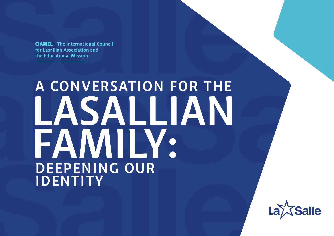CIAMEL **- The International Council for Lasallian Association and the Educational Mission**

### **A CONVERSATION FOR THE LASALLIAN FAMILY: DEEPENING OUR IDENTITY**



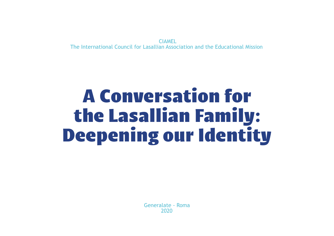CIAMEL The International Council for Lasallian Association and the Educational Mission

### A Conversation for the Lasallian Family: Deepening our Identity

Generalate - Roma 2020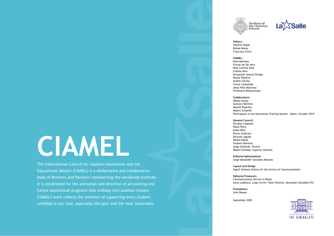### **Editors:** Heather Ruple Rafael Matas Francisco Chiva

### **CIAMEL:**

Alisa Macksey Fritzie Ian De Vera Rose Laetitia Dala Colette Allix Antuaneth Jessica Ortega Keane Palatino Andrés Govela Carlos Castañeda Jesús Félix Martínez Ferdinand Biziyaremiye

**Collaborators:** Néstor Anaya Gustavo Ramírez Mawell Pajarillo Robert Schaefer Participants in the Association Training Session - Rome, October 2019

### **General Council:**

Timothy Coldwell Paulo Petry Aidan Kilty Pierre Ouattara Ricardo Laguda Rafael Matas Gustavo Ramírez Jorge Gallardo, Vicario. Robert Schieler, Superior General.

**Editorial Admistrations** Jorge Alexánder González Morales

**Layout and Design** Ingrid Jiménez Urbina for the Service of Communications

**Editorial Producers** Communications Service in Rome Ilaria Ladeluca, Luigi Cerchi, Fabio Parente, Alexánder González FSC

**Translations** John Blease

September 2020



FRATRES SCHOLARVM CHRISTIANARVM THE GENERALATE

### **CIAMEL**

The International Council for Lasallian Association and the Educational Mission (CIAMEL) is a deliberative and collaborative body of Brothers and Partners representing the worldwide Institute. It is established for the animation and direction of all existing and future educational programs that embody the Lasallian mission. CIAMEL's work reflects the ambition of supporting every student confided to our care, especially the poor and the most vulnerable.



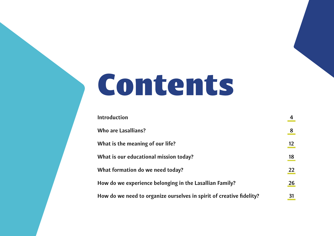## Contents

**[Introduction 4](#page-4-0) [Who are Lasallians? 8](#page-8-0)** What is the meaning of our life? **[What is our educational mission today? 18](#page-18-0)** What formation do we need today? How do we experience belonging in the La How do we need to organize ourselves in :

|                              | 8  |
|------------------------------|----|
|                              | 12 |
|                              | 18 |
|                              | 22 |
| asallian Family?             | 26 |
| spirit of creative fidelity? | 31 |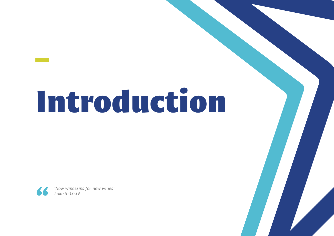# <span id="page-4-0"></span>Introduction



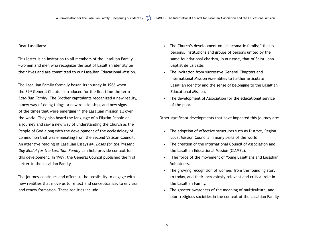Dear Lasallians:

This letter is an invitation to all members of the Lasallian Family —women and men who recognize the seal of Lasallian identity on their lives and are committed to our Lasallian Educational Mission.

The Lasallian Family formally began its journey in 1966 when the 39th General Chapter introduced for the first time the term *Lasallian Family*. The Brother capitulants recognized a new reality, a new way of doing things, a new relationship, and new signs of the times that were emerging in the Lasallian mission all over the world. They also heard the language of a Pilgrim People on a journey and saw a new way of understanding the Church as the People of God along with the development of the ecclesiology of communion that was emanating from the Second Vatican Council. An attentive reading of Lasallian Essays #4, *Bases for the Present Day Model for the Lasallian Family* can help provide context for this development. In 1989, the General Council published the first Letter to the Lasallian Family.

> The growing recognition of women, from the founding story to today, and their increasingly relevant and critical role in

The journey continues and offers us the possibility to engage with new realities that move us to reflect and conceptualize, to envision and renew formation. These realities include:

• The Church's development on "charismatic family;" that is persons, institutions and groups of persons united by the same foundational charism, in our case, that of Saint John

• The invitation from successive General Chapters and

- Baptist de La Salle.
- Educational Mission.
- of the poor.
- International Mission Assemblies to further articulate
- Lasallian identity and the sense of belonging to the Lasallian
- The development of Association for the educational service

Other significant developments that have impacted this journey are:

• The adoption of effective structures such as District, Region, Local Mission Councils in many parts of the world.

• The creation of the International Council of Association and the Lasallian Educational Mission (CIAMEL).

• The force of the movement of Young Lasallians and Lasallian

- 
- 
- Volunteers.
- the Lasallian Family.
- 

• The greater awareness of the meaning of multicultural and pluri-religious societies in the context of the Lasallian Family.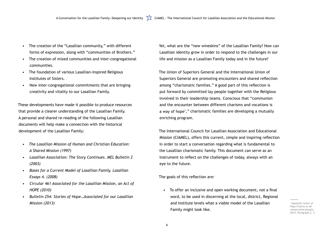- The creation of the "Lasallian community," with different forms of expression, along with "communities of Brothers."
- The creation of mixed communities and inter-congregational communities.
- The foundation of various Lasallian-inspired Religious Institutes of Sisters.
- New inter-congregational commitments that are bringing creativity and vitality to our Lasallian Family.

These developments have made it possible to produce resources that provide a clearer understanding of the Lasallian Family. A personal and shared re-reading of the following Lasallian documents will help make a connection with the historical development of the Lasallian Family:

- *• The Lasallian Mission of Human and Christian Education: A Shared Mission (1997)*
- *• Lasallian Association: The Story Continues. MEL Bulletin 2 (2003)*
- *• Bases for a Current Model of Lasallian Family. Lasallian Essays 4. (2008)*
- *• Circular 461 Associated for the Lasallian Mission, an Act of HOPE (2010)*
- *• Bulletin 254: Stories of Hope…Associated for our Lasallian Mission (2013)*

Yet, what are the "new wineskins" of the Lasallian Family? How can Lasallian identity grow in order to respond to the challenges in our life and mission as a Lasallian Family today and in the future?

The Union of Superiors General and the International Union of Superiors General are promoting encounters and shared reflection among "charismatic families." A good part of this reflection is put forward by committed lay people together with the Religious involved in their leadership teams. Conscious that "communion and the encounter between different charisms and vocations is a way of hope1 ," charismatic families are developing a mutually enriching program.

The International Council for Lasallian Association and Educational Mission (CIAMEL), offers this current, simple and inspiring reflection in order to start a conversation regarding what is fundamental to the Lasallian charismatic family. This document can serve as an instrument to reflect on the challenges of today, always with an eye to the future.

The goals of this reflection are:

• To offer an inclusive and open working document, not a final word, to be used in discerning at the local, district, Regional and Institute levels what a viable model of the Lasallian

Family might look like.

1 Apostolic letter of Pope Francis to all consecrated people, 2014. Paragraph 2, 3.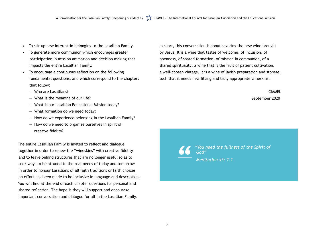- To stir up new interest in belonging to the Lasallian Family.
- To generate more communion which encourages greater participation in mission animation and decision making that impacts the entire Lasallian Family.
- To encourage a continuous reflection on the following fundamental questions, and which correspond to the chapters that follow:
	- ― Who are Lasallians?
	- ― What is the meaning of our life?
	- ― What is our Lasallian Educational Mission today?
	- ― What formation do we need today?
	- ― How do we experience belonging in the Lasallian Family?
	- ― How do we need to organize ourselves in spirit of creative fidelity?

The entire Lasallian Family is invited to reflect and dialogue together in order to renew the "wineskins" with creative fidelity and to leave behind structures that are no longer useful so as to seek ways to be attuned to the real needs of today and tomorrow. In order to honour Lasallians of all faith traditions or faith choices an effort has been made to be inclusive in language and description. You will find at the end of each chapter questions for personal and shared reflection. The hope is they will support and encourage important conversation and dialogue for all in the Lasallian Family.

In short, this conversation is about savoring the new wine brought by Jesus. It is a wine that tastes of welcome, of inclusion, of openness, of shared formation, of mission in communion, of a shared spirituality; a wine that is the fruit of patient cultivation, a well-chosen vintage. It is a wine of lavish preparation and storage, such that it needs new fitting and truly appropriate wineskins.

> CIAMEL September 2020

*"You need the fullness of the Spirit of* 

*God" Meditation 43: 2.2*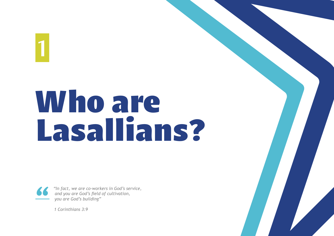

*1 Corinthians 3:9*



<span id="page-8-0"></span>1

# Who are Lasallians?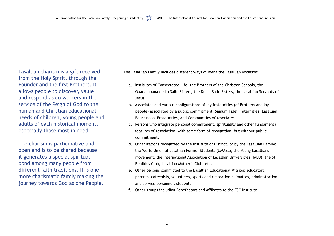Lasallian charism is a gift received from the Holy Spirit, through the Founder and the first Brothers. It allows people to discover, value and respond as co-workers in the service of the Reign of God to the human and Christian educational needs of children, young people and adults of each historical moment, especially those most in need.

The charism is participative and open and is to be shared because it generates a special spiritual bond among many people from different faith traditions. It is one more charismatic family making the journey towards God as one People.

The Lasallian Family includes different ways of living the Lasallian vocation:

Guadalupana de La Salle Sisters, the De La Salle Sisters, the Lasallian Servants of

b. Associates and various configurations of lay fraternities (of Brothers and lay people) associated by a public commitment: Signum Fidei Fraternities, Lasallian

c. Persons who integrate personal commitment, spirituality and other fundamental features of Association, with some form of recognition, but without public

- a. Institutes of Consecrated Life: the Brothers of the Christian Schools, the Jesus.
- Educational Fraternities, and Communities of Associates.
- commitment.
- Benildus Club, Lasallian Mother's Club, etc.
- e. Other persons committed to the Lasallian Educational Mission: educators, and service personnel, student.
- f. Other groups including Benefactors and Affiliates to the FSC Institute.

d. Organizations recognized by the Institute or District, or by the Lasallian Family: the World Union of Lasallian Former Students (UMAEL), the Young Lasallians movement, the International Association of Lasallian Universities (IALU), the St.

parents, catechists, volunteers, sports and recreation animators, administration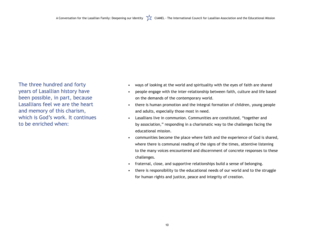The three hundred and forty years of Lasallian history have been possible, in part, because Lasallians feel we are the heart and memory of this charism, which is God's work. It continues to be enriched when:

• ways of looking at the world and spirituality with the eyes of faith are shared • people engage with the inter-relationship between faith, culture and life based

• there is human promotion and the integral formation of children, young people

• Lasallians live in communion. Communities are constituted, "together and

by association," responding in a charismatic way to the challenges facing the

- 
- on the demands of the contemporary world.
- and adults, especially those most in need.
- educational mission.
- challenges.
- fraternal, close, and supportive relationships build a sense of belonging.
- for human rights and justice, peace and integrity of creation.

• communities become the place where faith and the experience of God is shared, where there is communal reading of the signs of the times, attentive listening to the many voices encountered and discernment of concrete responses to these

• there is responsibility to the educational needs of our world and to the struggle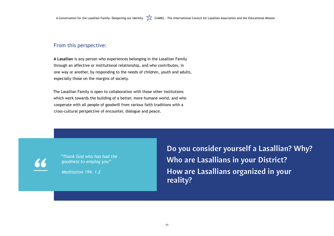### From this perspective:

**A Lasallian** is any person who experiences belonging in the Lasallian Family through an affective or institutional relationship, and who contributes, in one way or another, by responding to the needs of children, youth and adults, especially those on the margins of society.

The Lasallian Family is open to collaboration with those other institutions which work towards the building of a better, more humane world, and who cooperate with all people of goodwill from various faith traditions with a cross-cultural perspective of encounter, dialogue and peace.

**Do you consider yourself a Lasallian? Why? Who are Lasallians in your District? How are Lasallians organized in your reality?**

*"Thank God who has had the goodness to employ you"* 

*Meditation 194: 1.2*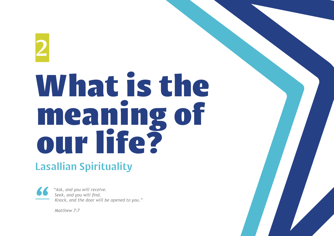## <span id="page-12-0"></span>2 What is the meaning of our life? Lasallian Spirituality

*"Ask, and you will receive. Seek, and you will find. Knock, and the door will be opened to you."* 

*Matthew 7:7*

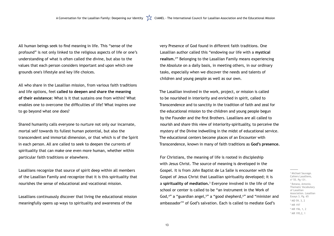A Conversation for the Lasallian Family: Deepening our Identity  $\sum_{k=1}^{\infty}$  CIAMEL - The International Council for Lasallian Association and the Educational Mission

All human beings seek to find meaning in life. This "sense of the profound" is not only linked to the religious aspects of life or one's understanding of what is often called the divine, but also to the values that each person considers important and upon which one grounds one's lifestyle and key life choices.

All who share in the Lasallian mission, from various faith traditions and life options, feel **called to deepen and share the meaning of their existence:** What is it that sustains one from within? What enables one to overcome the difficulties of life? What inspires one to go beyond what one does?

Shared humanity calls everyone to nurture not only our incarnate, mortal self towards its fullest human potential, but also the transcendent and immortal dimension, or that which is of the Spirit in each person. All are called to seek to deepen the currents of spirituality that can make one even more human, whether within particular faith traditions or elsewhere.

Lasallians recognize that source of spirit deep within all members of the Lasallian Family and recognize that it is this spirituality that nourishes the sense of educational and vocational mission.

Lasallians continuously discover that living the educational mission meaningfully opens up ways to spirituality and awareness of the

very Presence of God found in different faith traditions. One Lasallian author called this "endowing our life with a **mystical realism.**<sup>2</sup> " Belonging to the Lasallian Family means experiencing the Absolute on a daily basis, in meeting others, in our ordinary tasks, especially when we discover the needs and talents of children and young people as well as our own.

The Lasallian involved in the work, project, or mission is called to be nourished in interiority and enriched in spirit, called to Transcendence and to sanctity in the tradition of faith and zeal for the educational mission to the children and young people begun by the Founder and the first Brothers. Lasallians are all called to nourish and share this view of interiority-spirituality, to perceive the mystery of the Divine indwelling in the midst of educational service. The educational centers become places of an Encounter with Transcendence, known in many of faith traditions as **God's presence.**

For Christians, the meaning of life is rooted in discipleship with Jesus Christ. The source of meaning is developed in the Gospel. It is from John Baptist de La Salle is encounter with the Gospel of Jesus Christ that Lasallian spirituality developed; it is a **spirituality of mediation.**<sup>3</sup> Everyone involved in the life of the school or center is called to be "an instrument in the Work of God,<sup>4</sup>" a "guardian angel,<sup>5</sup>" a "good shepherd,<sup>6</sup>" and "minister and ambassador7 " of God's salvation. Each is called to mediate God's

2 Michael Sauvage. Cahiers Lasalliens, nº 55. Pg 131. 3 Botana, Antonio. Thematic Vocabulary of Lasallian Association. Lasallian Essays 3, Pg. 65 4 MD 59, 3, 2 5 MR 197 6 MR 196, 1, 2 7 MR 195,2, 1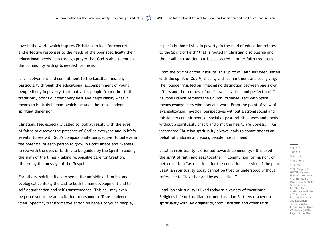love in the world which inspires Christians to look for concrete and effective responses to the needs of the poor specifically their educational needs. It is through prayer that God is able to enrich the community with gifts needed for mission.

It is involvement and commitment to the Lasallian mission, particularly through the educational accompaniment of young people living in poverty, that motivates people from other faith traditions, brings out their very best and helps clarify what it means to be truly human, which includes the transcendent spiritual dimension.

Christians feel especially called to look at reality with the eyes of faith: to discover the presence of God<sup>8</sup> in everyone and in life's events; to see with God's compassionate perspective; to believe in the potential of each person to grow in God's image and likeness. To see with the eyes of faith is to be guided by the Spirit - reading the signs of the times - taking responsible care for Creation, discerning the message of the Gospel.

For others, spirituality is to see in the unfolding historical and ecological context; the call to both human development and to self-actualization and self-transcendence. This call may even be perceived to be an invitation to respond to Transcendence itself. Specific, transformative action on behalf of young people,

Lasallian spirituality is oriented towards community.<sup>13</sup> It is lived in the spirit of faith and zeal together in communion for mission, or better said, in "association" for the educational service of the poor. Lasallian spirituality today cannot be lived or understood without reference to "together and by association."

especially those living in poverty, in the field of education relates to the Spirit of Faith<sup>9</sup> that is rooted in Christian discipleship and the Lasallian tradition but is also sacred in other faith traditions.

From the origins of the Institute, this Spirit of Faith has been united with the **spirit of Zeal**<sup>10</sup>, that is, with commitment and self-giving. The Founder insisted on "making no distinction between one's own affairs and the business of one's own salvation and perfection.<sup>11"</sup> As Pope Francis reminds the Church: "Evangelizers with Spirit means evangelizers who pray and work. From the point of view of evangelization, mystical perspectives without a strong social and missionary commitment, or social or pastoral discourses and praxis without a spirituality that transforms the heart, are useless.<sup>12"</sup> An incarnated Christian spirituality always leads to commitments on behalf of children and young people most in need.

Lasallian spirituality is lived today in a variety of vocations: Religious Life or Lasallian partner. Lasallian Partners discover a spirituality with lay originality, from Christian and other faith

8 RC 2, 7 9 RC 2, 2 10 RC 2, 9  $11$  RP 3, 0, 3 12 EG 262 <sup>13</sup> Cf. Chapter 7. GREEN, Michael. Now with enthusiam. Charism, God's Mission and Catholic Schools Today. Ed: BBI – The Australian Institute of Theological Education Mission and Education series. Vaughan Publishing. Mulgrave (Melbourne) 2018. Pages 171 to 186.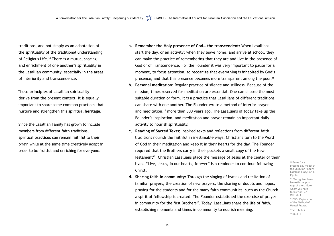traditions, and not simply as an adaptation of the spirituality of the traditional understanding of Religious Life.<sup>14</sup> There is a mutual sharing and enrichment of one another's spirituality in the Lasallian community, especially in the areas of interiority and transcendence.

These **principles** of Lasallian spirituality derive from the present context. It is equally important to share some common practices that nurture and strengthen this **spiritual heritage.**

Since the Lasallian Family has grown to include members from different faith traditions, **spiritual practices** can remain faithful to their origin while at the same time creatively adapt in order to be fruitful and enriching for everyone.

> familiar prayers, the creation of new prayers, the sharing of doubts and hopes, praying for the students and for the many faith communities, such as the Church, a spirit of fellowship is created. The Founder established the exercise of prayer in community for the first Brothers<sup>18</sup>. Today, Lasallians share the life of faith,

**a. Remember the Holy presence of God… the transcendent:** When Lasallians start the day, or an activity; when they leave home, and arrive at school, they can make the practice of remembering that they are and live in the presence of God or of Transcendence. For the Founder it was very important to pause for a moment, to focus attention, to recognize that everything is inhabited by God's presence, and that this presence becomes more transparent among the poor.<sup>15</sup> **b. Personal meditation**: Regular practice of silence and stillness. Because of the mission, times reserved for meditation are essential. One can choose the most suitable duration or form. It is a practice that Lasallians of different traditions can share with one another. The Founder wrote a method of interior prayer and meditation,<sup>16</sup> more than 300 years ago. The Lasallians of today take up the Founder's inspiration, and meditation and prayer remain an important daily

> <sup>14</sup> Bases for a present-day model of the Lasallian Family. Lasallian Essays nº 4. Pg. 14

<sup>15</sup> "Recognize Jesus beneath the poor rags of the children whom you have to instruct; …" MDF 96.3 <sup>16</sup> EMO. Explanation of the Method of Mental Prayer.

 $17$  CT 11, 1, 3 <sup>18</sup> RC 4, 1

**c. Reading of Sacred Texts:** Inspired texts and reflections from different faith traditions nourish the faithful in inestimable ways. Christians turn to the Word of God in their meditation and keep it in their hearts for the day. The Founder required that the Brothers carry in their pockets a small copy of the New Testament<sup>17</sup>. Christian Lasallians place the message of Jesus at the center of their lives. "Live, Jesus, in our hearts, forever" is a reminder to continue following

- 
- activity to nourish spirituality.
- Christ.
- **d. Sharing faith in community:** Through the singing of hymns and recitation of establishing moments and times in community to nourish meaning.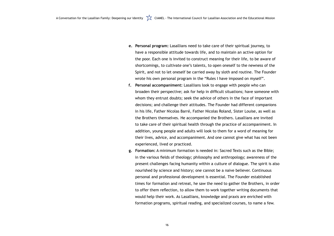**e. Personal program:** Lasallians need to take care of their spiritual journey, to have a responsible attitude towards life, and to maintain an active option for the poor. Each one is invited to construct meaning for their life, to be aware of shortcomings, to cultivate one's talents, to open oneself to the newness of the Spirit, and not to let oneself be carried away by sloth and routine. The Founder wrote his own personal program in the "Rules I have imposed on myself". **f. Personal accompaniment:** Lasallians look to engage with people who can broaden their perspective; ask for help in difficult situations; have someone with whom they entrust doubts; seek the advice of others in the face of important decisions; and challenge their attitudes. The Founder had different companions in his life, Father Nicolas Barré, Father Nicolas Roland, Sister Louise, as well as the Brothers themselves. He accompanied the Brothers. Lasallians are invited to take care of their spiritual health through the practice of accompaniment. In addition, young people and adults will look to them for a word of meaning for their lives, advice, and accompaniment. And one cannot give what has not been

- 
- experienced, lived or practiced.
- 

**g. Formation:** A minimum formation is needed in: Sacred Texts such as the Bible; in the various fields of theology; philosophy and anthropology; awareness of the present challenges facing humanity within a culture of dialogue. The spirit is also nourished by science and history; one cannot be a naive believer. Continuous personal and professional development is essential. The Founder established times for formation and retreat, he saw the need to gather the Brothers, in order to offer them reflection, to allow them to work together writing documents that would help their work. As Lasallians, knowledge and praxis are enriched with formation programs, spiritual reading, and specialized courses, to name a few.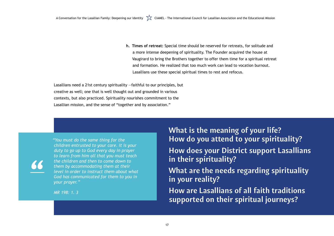**h. Times of retreat:** Special time should be reserved for retreats, for solitude and a more intense deepening of spirituality. The Founder acquired the house at Vaugirard to bring the Brothers together to offer them time for a spiritual retreat and formation. He realized that too much work can lead to vocation burnout. Lasallians use these special spiritual times to rest and refocus.

### **What is the meaning of your life? How do you attend to your spirituality?**

- **How does your District support Lasallians in their spirituality?**
- **What are the needs regarding spirituality**
- **How are Lasallians of all faith traditions supported on their spiritual journeys?**

**in your reality?** 

*"You must do the same thing for the children entrusted to your care. It is your duty to go up to God every day in prayer to learn from him all that you must teach the children and then to come down to them by accommodating them at their level in order to instruct them about what God has communicated for them to you in your prayer."*

*MR 198: 1. 3*

Lasallians need a 21st century spirituality —faithful to our principles, but creative as well; one that is well thought out and grounded in various contexts, but also practiced. Spirituality nourishes commitment to the Lasallian mission, and the sense of "together and by association."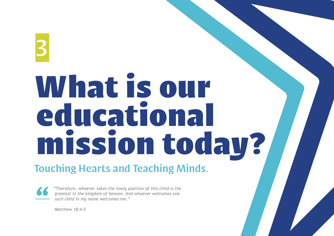# <span id="page-18-0"></span>3 What is our educational mission today?

### Touching Hearts and Teaching Minds.



*"Therefore, whoever takes the lowly position of this child is the greatest in the kingdom of heaven. And whoever welcomes one such child in my name welcomes me."* 

*Matthew 18:4-5*

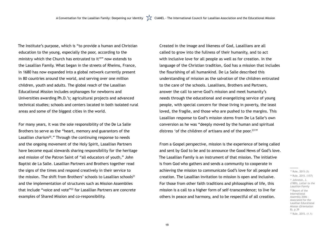The Institute's purpose, which is "to provide a human and Christian education to the young, especially the poor, according to the ministry which the Church has entrusted to it<sup>19</sup>" now extends to the Lasallian Family. What began in the streets of Rheims, France, in 1680 has now expanded into a global network currently present in 80 countries around the world, and serving over one million children, youth and adults. The global reach of the Lasallian Educational Mission includes orphanages for newborns and Universities awarding Ph.D.'s; agricultural projects and advanced technical studies; schools and centers located in both isolated rural areas and some of the biggest cities in the world.

> <sup>22</sup> Report of the International Assembly 2006 Associated for the Lasallian Educational Mission (Orientation 8), p.39

<sup>23</sup> Rule, 2015. (1.1)

Created in the image and likeness of God, Lasallians are all called to grow into the fullness of their humanity, and to act with inclusive love for all people as well as for creation. In the language of the Christian tradition, God has a mission that includes the flourishing of all humankind. De La Salle described this understanding of mission as the salvation of the children entrusted to the care of the schools. Lasallians, Brothers and Partners, answer the call to serve God's mission and meet humanity's needs through the educational and evangelizing service of young people, with special concern for those living in poverty, the least loved, the fragile, and those who are pushed to the margins. This Lasallian response to God's mission stems from De La Salle's own conversion as he was "deeply moved by the human and spiritual distress 'of the children of artisans and of the poor.<sup>23</sup>'"

For many years, it was the sole responsibility of the De La Salle Brothers to serve as the "heart, memory and guarantors of the Lasallian charism<sup>20</sup>." Through the continuing response to needs and the ongoing movement of the Holy Spirit, Lasallian Partners have become equal stewards sharing responsibility for the heritage and mission of the Patron Saint of "all educators of youth," John Baptist de La Salle. Lasallian Partners and Brothers together read the signs of the times and respond creatively in their service to the mission. The shift from Brothers' schools to Lasallian schools<sup>21</sup> and the implementation of structures such as Mission Assemblies that include "voice and vote"22 for Lasallian Partners are concrete examples of Shared Mission and co-responsibility.

21 Johnston, J. (1989), *Letter to the Lasallian Family*

From a Gospel perspective, mission is the experience of being called and sent by God to be and to announce the Good News of God's love. The Lasallian Family is an instrument of that mission. The initiative is from God who gathers and sends a community to cooperate in achieving the mission to communicate God's love for all people and creation. The Lasallian invitation to mission is open and inclusive. For those from other faith traditions and philosophies of life, this mission is a call to a higher form of self-transcendence; to live for others in peace and harmony, and to be respectful of all creation.

<sup>19</sup> Rule, 2015 (3)

<sup>&</sup>lt;sup>20</sup> Rule, 2015. (157)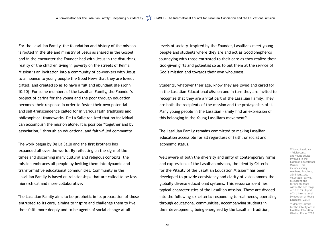For the Lasallian Family, the foundation and history of the mission is rooted in the life and ministry of Jesus as shared in the Gospel and in the encounter the Founder had with Jesus in the disturbing reality of the children living in poverty on the streets of Reims. Mission is an invitation into a community of co-workers with Jesus to announce to young people the Good News that they are loved, gifted, and created so as to have a full and abundant life (John 10:10). For some members of the Lasallian Family, the Founder's project of caring for the young and the poor through education becomes their response in order to foster their own potential and self-transcendence called for in various faith traditions and philosophical frameworks. De La Salle realized that no individual can accomplish the mission alone. It is possible "together and by association," through an educational and faith-filled community.

Students, whatever their age, know they are loved and cared for in the Lasallian Educational Mission and in turn they are invited to recognize that they are a vital part of the Lasallian Family. They are both the recipients of the mission and the protagonists of it. Many young people in the Lasallian Family find an expression of this belonging in the Young Lasallians movement $24$ .

The work begun by De La Salle and the first Brothers has expanded all over the world. By reflecting on the signs of the times and discerning many cultural and religious contexts, the mission embraces all people by inviting them into dynamic and transformative educational communities. Community in the Lasallian Family is based on relationships that are called to be less hierarchical and more collaborative.

The Lasallian Family aims to be prophetic in its preparation of those entrusted to its care, aiming to inspire and challenge them to live their faith more deeply and to be agents of social change at all

24 Young Lasallians - Adolescents and young adults involved in the Lasallian Educational Mission. This includes young teachers, Brothers, administrators, volunteers, as well as current and former students within the age range of 16 to 35 (Report of 3rd International Symposium of Young Lasallians, 2013)

<sup>25</sup> Identity Criteria for the Vitality of the Lasallian Education Mission; Rome. 2020

levels of society. Inspired by the Founder, Lasallians meet young people and students where they are and act as Good Shepherds journeying with those entrusted to their care as they realize their God-given gifts and potential so as to put them at the service of God's mission and towards their own wholeness.

The Lasallian Family remains committed to making Lasallian education accessible for all regardless of faith, or social and economic status.

Well aware of both the diversity and unity of contemporary forms and expressions of the Lasallian mission, the Identity Criteria for the Vitality of the Lasallian Education Mission<sup>25</sup> has been developed to provide consistency and clarity of vision among the globally diverse educational systems. This resource identifies typical characteristics of the Lasallian mission. These are divided into the following six criteria: responding to real needs, operating through educational communities, accompanying students in their development, being energized by the Lasallian tradition,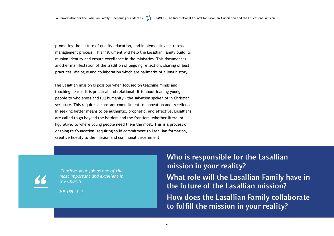A Conversation for the Lasallian Family: Deepening our Identity  $\sum_{k=1}^{N}$  CIAMEL - The International Council for Lasallian Association and the Educational Mission

promoting the culture of quality education, and implementing a strategic management process. This instrument will help the Lasallian Family build its mission identity and ensure excellence in the ministries. This document is another manifestation of the tradition of ongoing reflection, sharing of best practices, dialogue and collaboration which are hallmarks of a long history.

The Lasallian mission is possible when focused on teaching minds and touching hearts. It is practical and relational. It is about leading young people to wholeness and full humanity – the salvation spoken of in Christian scripture. This requires a constant commitment to innovation and excellence. In seeking better means to be authentic, prophetic, and effective, Lasallians are called to go beyond the borders and the frontiers, whether literal or figurative, to where young people need them the most. This is a process of ongoing re-foundation, requiring solid commitment to Lasallian formation, creative fidelity to the mission and communal discernment.

**Who is responsible for the Lasallian mission in your reality?**

**What role will the Lasallian Family have in the future of the Lasallian mission?** 

**How does the Lasallian Family collaborate to fulfill the mission in your reality?**

*"Consider your job as one of the most important and excellent in the Church"* 

*MF 155, 1, 2*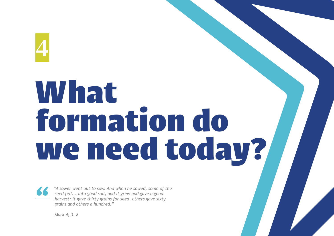<span id="page-22-0"></span>4

# Whatt formation do we need today?



*"A sower went out to sow. And when he sowed, some of the seed fell... into good soil, and it grew and gave a good harvest: it gave thirty grains for seed, others gave sixty grains and others a hundred."* 

*Mark 4; 3. 8* 

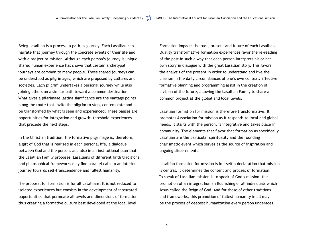A Conversation for the Lasallian Family: Deepening our Identity  $\sum_{n=1}^{\infty}$  CIAMEL - The International Council for Lasallian Association and the Educational Mission

Being Lasallian is a process, a path, a journey. Each Lasallian can narrate that journey through the concrete events of their life and with a project or mission. Although each person's journey is unique, shared human experience has shown that certain archetypal journeys are common to many people. These shared journeys can be understood as pilgrimages, which are proposed by cultures and societies. Each pilgrim undertakes a personal journey while also joining others on a similar path toward a common destination. What gives a pilgrimage lasting significance are the vantage points along the route that invite the pilgrim to stop, contemplate and be transformed by what is seen and experienced. These pauses are opportunities for integration and growth: threshold experiences that precede the next steps.

In the Christian tradition, the formative pilgrimage is, therefore, a gift of God that is realized in each personal life, a dialogue between God and the person, and also in an institutional plan that the Lasallian Family proposes. Lasallians of different faith traditions and philosophical frameworks may find parallel calls to an interior journey towards self-transcendence and fullest humanity.

The proposal for formation is for all Lasallians. It is not reduced to isolated experiences but consists in the development of integrated opportunities that permeate all levels and dimensions of formation thus creating a formative culture best developed at the local level. Formation impacts the past, present and future of each Lasallian. Quality transformative formation experiences favor the re-reading of the past in such a way that each person interprets his or her own story in dialogue with the great Lasallian story. This favors the analysis of the present in order to understand and live the charism in the daily circumstances of one's own context. Effective formative planning and programming assist in the creation of a vision of the future, allowing the Lasallian Family to share a common project at the global and local levels.

Lasallian formation for mission is therefore transformative. It promotes Association for mission as it responds to local and global needs. It starts with the person, is integrative and takes place in community. The elements that flavor that formation as specifically Lasallian are the particular spirituality and the founding charismatic event which serves as the source of inspiration and ongoing discernment.

Lasallian formation for mission is in itself a declaration that mission is central. It determines the content and process of formation. To speak of Lasallian mission is to speak of God's mission, the promotion of an integral human flourishing of all individuals which Jesus called the Reign of God. And for those of other traditions and frameworks, this promotion of fullest humanity in all may be the process of deepest humanization every person undergoes.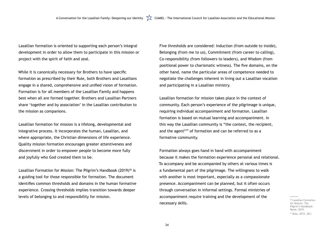Lasallian formation is oriented to supporting each person's integral development in order to allow them to participate in this mission or project with the spirit of faith and zeal.

While it is canonically necessary for Brothers to have specific formation as prescribed by their Rule, both Brothers and Lasallians engage in a shared, comprehensive and unified vision of formation. Formation is for all members of the Lasallian Family and happens best when all are formed together. Brothers and Lasallian Partners share 'together and by association' in the Lasallian contribution to the mission as companions.

Lasallian Formation for Mission: The Pilgrim's Handbook  $(2019)^{26}$  is a guiding tool for those responsible for formation. The document identifies common thresholds and domains in the human formative experience. Crossing thresholds implies transition towards deeper levels of belonging to and responsibility for mission.

Lasallian formation for mission is a lifelong, developmental and integrative process. It incorporates the human, Lasallian, and where appropriate, the Christian dimensions of life experience. Quality mission formation encourages greater attentiveness and discernment in order to empower people to become more fully and joyfully who God created them to be.

Five thresholds are considered: Induction (from outside to inside), Belonging (from me to us), Commitment (from career to calling), Co-responsibility (from followers to leaders), and Wisdom (from positional power to charismatic witness). The five domains, on the other hand, name the particular areas of competence needed to negotiate the challenges inherent in living out a Lasallian vocation and participating in a Lasallian ministry.

Lasallian formation for mission takes place in the context of community. Each person's experience of the pilgrimage is unique, requiring individual accompaniment and formation. Lasallian formation is based on mutual learning and accompaniment. In this way the Lasallian community is "the context, the recipient, and the agent<sup>27</sup>" of formation and can be referred to as a formative community.

Formation always goes hand in hand with accompaniment because it makes the formation experience personal and relational. To accompany and be accompanied by others at various times is a fundamental part of the pilgrimage. The willingness to walk with another is most important, especially as a compassionate presence. Accompaniment can be planned, but it often occurs through conversation in informal settings. Formal ministries of accompaniment require training and the development of the necessary skills.

26 Lasallian Formation for Mission: The Pilgrim's Handbook: Rome. 2019.

<sup>27</sup> Rule, 2015. (81)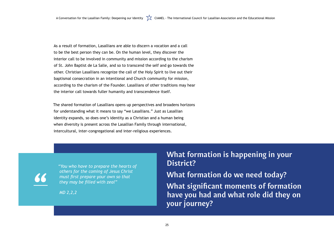A Conversation for the Lasallian Family: Deepening our Identity  $\sum_{k=1}^{N}$  CIAMEL - The International Council for Lasallian Association and the Educational Mission

As a result of formation, Lasallians are able to discern a vocation and a call to be the best person they can be. On the human level, they discover the interior call to be involved in community and mission according to the charism of St. John Baptist de La Salle, and so to transcend the self and go towards the other. Christian Lasallians recognize the call of the Holy Spirit to live out their baptismal consecration in an intentional and Church community for mission, according to the charism of the Founder. Lasallians of other traditions may hear the interior call towards fuller humanity and transcendence itself.

The shared formation of Lasallians opens up perspectives and broadens horizons for understanding what it means to say "we Lasallians." Just as Lasallian identity expands, so does one's identity as a Christian and a human being when diversity is present across the Lasallian Family through international, intercultural, inter-congregational and inter-religious experiences.

**What formation is happening in your District? What formation do we need today? What significant moments of formation**  have you had and what role did they on **your journey?** 

*"You who have to prepare the hearts of others for the coming of Jesus Christ must first prepare your own so that they may be filled with zeal"*

*MD 2,2,2*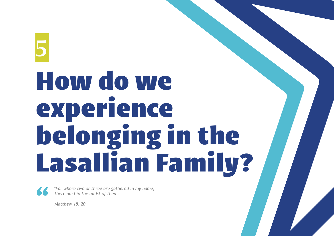## <span id="page-26-0"></span>5 How do we experience belonging in the Lasallian Family?



*"For where two or three are gathered in my name, there am I in the midst of them."* 

*Matthew 18, 20*

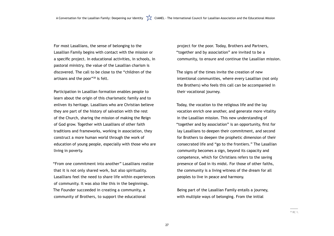A Conversation for the Lasallian Family: Deepening our Identity  $\sum_{k=1}^{N}$  CIAMEL - The International Council for Lasallian Association and the Educational Mission

For most Lasallians, the sense of belonging to the Lasallian Family begins with contact with the mission or a specific project. In educational activities, in schools, in pastoral ministry, the value of the Lasallian charism is discovered. The call to be close to the "children of the artisans and the poor"28 is felt.

Participation in Lasallian formation enables people to learn about the origin of this charismatic family and to enliven its heritage. Lasallians who are Christian believe they are part of the history of salvation with the rest of the Church, sharing the mission of making the Reign of God grow. Together with Lasallians of other faith traditions and frameworks, working in association, they construct a more human world through the work of education of young people, especially with those who are living in poverty.

"From one commitment into another" Lasallians realize that it is not only shared work, but also spirituality. Lasallians feel the need to share life within experiences of community. It was also like this in the beginnings. The Founder succeeded in creating a community, a community of Brothers, to support the educational

project for the poor. Today, Brothers and Partners, "together and by association" are invited to be a community, to ensure and continue the Lasallian mission.

The signs of the times invite the creation of new intentional communities, where every Lasallian (not only the Brothers) who feels this call can be accompanied in their vocational journey.

Today, the vocation to the religious life and the lay vocation enrich one another, and generate more vitality in the Lasallian mission. This new understanding of "together and by association" is an opportunity, first for lay Lasallians to deepen their commitment, and second for Brothers to deepen the prophetic dimension of their consecrated life and "go to the frontiers." The Lasallian community becomes a sign, beyond its capacity and competence, which for Christians refers to the saving presence of God in its midst. For those of other faiths, the community is a living witness of the dream for all peoples to live in peace and harmony.

Being part of the Lasallian Family entails a journey, with multiple ways of belonging. From the initial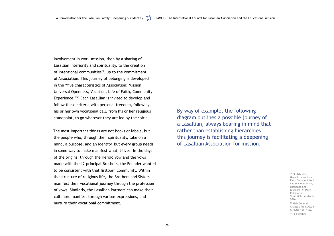involvement in work-mission, then by a sharing of Lasallian interiority and spirituality, to the creation of intentional communities<sup>29</sup>, up to the commitment of Association. This journey of belonging is developed in the "five characteristics of Association: Mission, Universal Openness, Vocation, Life of Faith, Community Experience."30 Each Lasallian is invited to develop and follow these criteria with personal freedom, following his or her own vocational call, from his or her religious standpoint, to go wherever they are led by the spirit.

> <sup>29</sup> Cf. Arbuckle, Gerald. Intentional Faith Communities in catholic education, challenge and response. St Pauls Publications. Strathfield, Australia, 2016.

> <sup>30</sup> 43th General Chapter. Pg 4. Also in Circular 461, 4.20.

<sup>31</sup> CF Lasallian

The most important things are not books or labels, but the people who, through their spirituality, take on a mind, a purpose, and an identity. But every group needs in some way to make manifest what it lives. In the days of the origins, through the Heroic Vow and the vows made with the 12 principal Brothers, the Founder wanted to be consistent with that firstborn community. Within the structure of religious life, the Brothers and Sisters manifest their vocational journey through the profession of vows. Similarly, the Lasallian Partners can make their call more manifest through various expressions, and nurture their vocational commitment.

By way of example, the following diagram outlines a possible journey of a Lasallian, always bearing in mind that rather than establishing hierarchies, this journey is facilitating a deepening of Lasallian Association for mission.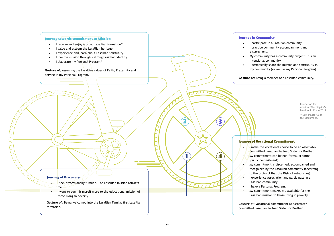$\sqrt{4}$ 

11111

 $2N \sqrt{3}$ 

フフフフ

### Journey in Community

- I participate in a Lasallian community.
- I practice community accompaniment and discernment.
- My community has a community project: It is an intentional community.
- I periodically share the mission and spirituality in my community (as well as my Personal Program).

**Gesture of:** Being a member of a Lasallian community.

### Journey of Vocational Commitment

- **I make the vocational choice to be an Associate/** Committed Lasallian Partner, Sister, or Brother.
- My commitment can be non-formal or formal (public commitment).
- My commitment is discerned, accompanied and recognized by the Lasallian community (according to the protocol that the District establishes).
- I experience Association and participate in a Lasallian community.
- I have a Personal Program.
- My commitment makes me available for the Lasallian mission to those living in poverty.
- I feel professionally fulfilled. The Lasallian mission attracts me.
- I want to commit myself more to the educational mission of those living in poverty.

Gesture of: Assuming the Lasallian values of Faith, Fraternity and Service in my Personal Program.

> <sup>32</sup> See chapter 2 of this document.

**Gesture of:** Vocational commitment as Associate/ Committed Lasallian Partner, Sister, or Brother.

### Journey of Discovery

**Gesture of:** Being welcomed into the Lasallian Family: first Lasallian formation.

### Journey towards commitment to Mission

- I receive and enjoy a broad Lasallian formation<sup>31</sup>.
- I value and esteem the Lasallian heritage.
- I experience and learn about Lasallian spiritualty.
- I live the mission through a strong Lasallian identity.
- I elaborate my Personal Program<sup>32</sup>.

Formation for mission. The pilgrim's handbook. Rome 2019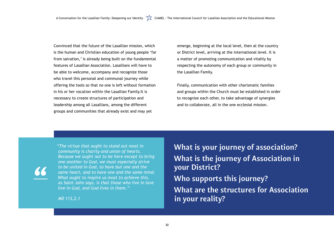A Conversation for the Lasallian Family: Deepening our Identity  $\sum_{k=1}^{\infty}$  CIAMEL - The International Council for Lasallian Association and the Educational Mission

Convinced that the future of the Lasallian mission, which is the human and Christian education of young people 'far from salvation,' is already being built on the fundamental features of Lasallian Association. Lasallians will have to be able to welcome, accompany and recognize those who travel this personal and communal journey while offering the tools so that no one is left without formation in his or her vocation within the Lasallian Family.It is necessary to create structures of participation and leadership among all Lasallians, among the different groups and communities that already exist and may yet

> **What are the structures for Association in your reality?**

**What is your journey of association? What is the journey of Association in your District?** 

**Who supports this journey?** 

*"The virtue that ought to stand out most in community is charity and union of hearts. Because we ought not to be here except to bring one another to God, we must especially strive to be united in God, to have but one and the same heart, and to have one and the same mind. What ought to inspire us most to achieve this, as Saint John says, is that those who live in love live in God, and God lives in them."*

*MD 113,2,1*

emerge, beginning at the local level, then at the country or District level, arriving at the international level. It is a matter of promoting communication and vitality by respecting the autonomy of each group or community in the Lasallian Family.

Finally, communication with other charismatic families and groups within the Church must be established in order to recognize each other, to take advantage of synergies and to collaborate, all in the one ecclesial mission.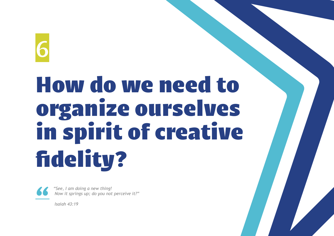### <span id="page-31-0"></span>6 How do we need to organize ourselves in spirit of creative fidelity?



*"See, I am doing a new thing! Now it springs up; do you not perceive it?"* 

*Isaiah 43:19*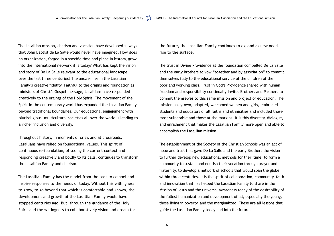A Conversation for the Lasallian Family: Deepening our Identity  $\sum_{k=1}^{N}$  CIAMEL - The International Council for Lasallian Association and the Educational Mission

The Lasallian mission, charism and vocation have developed in ways that John Baptist de La Salle would never have imagined. How does an organization, forged in a specific time and place in history, grow into the international network it is today? What has kept the vision and story of De La Salle relevant to the educational landscape over the last three centuries? The answer lies in the Lasallian Family's creative fidelity. Faithful to the origins and foundation as ministers of Christ's Gospel message, Lasallians have responded creatively to the urgings of the Holy Spirit. The movement of the Spirit in the contemporary world has expanded the Lasallian Family beyond traditional boundaries. Our educational engagement with plurireligious, multicultural societies all over the world is leading to a richer inclusion and diversity.

Throughout history, in moments of crisis and at crossroads, Lasallians have relied on foundational values. This spirit of continuous re-foundation, of seeing the current context and responding creatively and boldly to its calls, continues to transform the Lasallian Family and charism.

The Lasallian Family has the model from the past to compel and inspire responses to the needs of today. Without this willingness to grow, to go beyond that which is comfortable and known, the development and growth of the Lasallian Family would have stopped centuries ago. But, through the guidance of the Holy Spirit and the willingness to collaboratively vision and dream for the future, the Lasallian Family continues to expand as new needs

rise to the surface.

The trust in Divine Providence at the foundation compelled De La Salle and the early Brothers to vow "together and by association" to commit themselves fully to the educational service of the children of the poor and working class. Trust in God's Providence shared with human freedom and responsibility continually invites Brothers and Partners to commit themselves to this same mission and project of education. The mission has grown, adapted, welcomed women and girls, embraced students and educators of all faiths and ethnicities and included those most vulnerable and those at the margins. It is this diversity, dialogue, and enrichment that makes the Lasallian Family more open and able to accomplish the Lasallian mission.

The establishment of the Society of the Christian Schools was an act of hope and trust that gave De La Salle and the early Brothers the vision to further develop new educational methods for their time, to form a community to sustain and nourish their vocation through prayer and fraternity, to develop a network of schools that would span the globe within three centuries. It is the spirit of collaboration, community, faith and innovation that has helped the Lasallian Family to share in the Mission of Jesus and the universal awareness today of the desirability of the fullest humanization and development of all, especially the young, those living in poverty, and the marginalized. These are all lessons that guide the Lasallian Family today and into the future.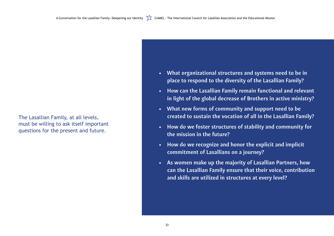**• What organizational structures and systems need to be in place to respond to the diversity of the Lasallian Family?**

- 
- **• How can the Lasallian Family remain functional and relevant in light of the global decrease of Brothers in active ministry?**
- **• What new forms of community and support need to be created to sustain the vocation of all in the Lasallian Family?**
- **• How do we foster structures of stability and community for the mission in the future?**
- **• How do we recognize and honor the explicit and implicit commitment of Lasallians on a journey?**
- **• As women make up the majority of Lasallian Partners, how can the Lasallian Family ensure that their voice, contribution and skills are utilized in structures at every level?**

The Lasallian Family, at all levels, must be willing to ask itself important questions for the present and future.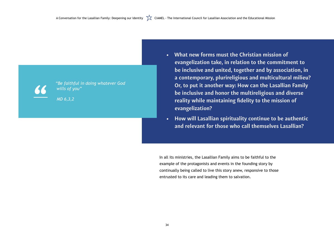**• What new forms must the Christian mission of evangelization take, in relation to the commitment to be inclusive and united, together and by association, in a contemporary, plurireligious and multicultural milieu? Or, to put it another way: How can the Lasallian Family be inclusive and honor the multireligious and diverse reality while maintaining fidelity to the mission of evangelization?**

**• How will Lasallian spirituality continue to be authentic and relevant for those who call themselves Lasallian?**

In all its ministries, the Lasallian Family aims to be faithful to the example of the protagonists and events in the founding story by continually being called to live this story anew, responsive to those entrusted to its care and leading them to salvation.



*"Be faithful in doing whatever God wills of you"* 

*MD 6,3,2*